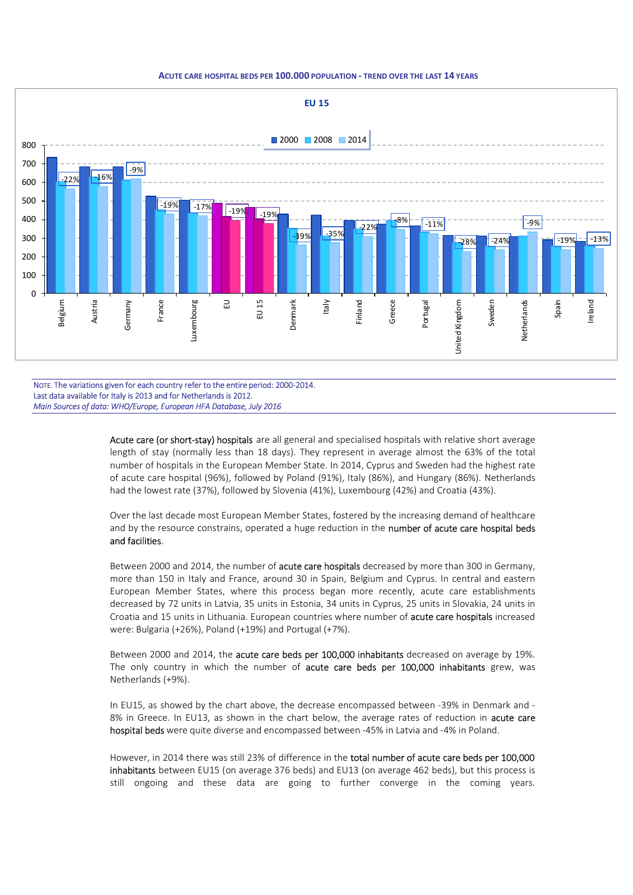## ACUTE CARE HOSPITAL BEDS PER 100.000 POPULATION - TREND OVER THE LAST 14 YEARS



NOTE. The variations given for each country refer to the entire period: 2000-2014. Last data available for Italy is 2013 and for Netherlands is 2012. Main Sources of data: WHO/Europe, European HFA Database, July 2016

> Acute care (or short-stay) hospitals are all general and specialised hospitals with relative short average length of stay (normally less than 18 days). They represent in average almost the 63% of the total number of hospitals in the European Member State. In 2014, Cyprus and Sweden had the highest rate of acute care hospital (96%), followed by Poland (91%), Italy (86%), and Hungary (86%). Netherlands had the lowest rate (37%), followed by Slovenia (41%), Luxembourg (42%) and Croatia (43%).

> Over the last decade most European Member States, fostered by the increasing demand of healthcare and by the resource constrains, operated a huge reduction in the number of acute care hospital beds and facilities.

> Between 2000 and 2014, the number of acute care hospitals decreased by more than 300 in Germany, more than 150 in Italy and France, around 30 in Spain, Belgium and Cyprus. In central and eastern European Member States, where this process began more recently, acute care establishments decreased by 72 units in Latvia, 35 units in Estonia, 34 units in Cyprus, 25 units in Slovakia, 24 units in Croatia and 15 units in Lithuania. European countries where number of acute care hospitals increased were: Bulgaria (+26%), Poland (+19%) and Portugal (+7%).

> Between 2000 and 2014, the acute care beds per 100,000 inhabitants decreased on average by 19%. The only country in which the number of acute care beds per 100,000 inhabitants grew, was Netherlands (+9%).

> In EU15, as showed by the chart above, the decrease encompassed between -39% in Denmark and - 8% in Greece. In EU13, as shown in the chart below, the average rates of reduction in **acute care** hospital beds were quite diverse and encompassed between -45% in Latvia and -4% in Poland.

> However, in 2014 there was still 23% of difference in the total number of acute care beds per 100,000 inhabitants between EU15 (on average 376 beds) and EU13 (on average 462 beds), but this process is still ongoing and these data are going to further converge in the coming years.